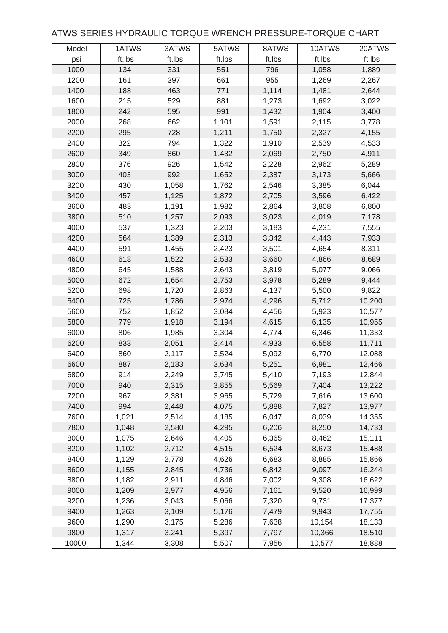## ATWS SERIES HYDRAULIC TORQUE WRENCH PRESSURE-TORQUE CHART

| Model | 1ATWS  | 3ATWS  | 5ATWS  | 8ATWS  | 10ATWS | 20ATWS |
|-------|--------|--------|--------|--------|--------|--------|
| psi   | ft.lbs | ft.lbs | ft.lbs | ft.lbs | ft.lbs | ft.lbs |
| 1000  | 134    | 331    | 551    | 796    | 1,058  | 1,889  |
| 1200  | 161    | 397    | 661    | 955    | 1,269  | 2,267  |
| 1400  | 188    | 463    | 771    | 1,114  | 1,481  | 2,644  |
| 1600  | 215    | 529    | 881    | 1,273  | 1,692  | 3,022  |
| 1800  | 242    | 595    | 991    | 1,432  | 1,904  | 3,400  |
| 2000  | 268    | 662    | 1,101  | 1,591  | 2,115  | 3,778  |
| 2200  | 295    | 728    | 1,211  | 1,750  | 2,327  | 4,155  |
| 2400  | 322    | 794    | 1,322  | 1,910  | 2,539  | 4,533  |
| 2600  | 349    | 860    | 1,432  | 2,069  | 2,750  | 4,911  |
| 2800  | 376    | 926    | 1,542  | 2,228  | 2,962  | 5,289  |
| 3000  | 403    | 992    | 1,652  | 2,387  | 3,173  | 5,666  |
| 3200  | 430    | 1,058  | 1,762  | 2,546  | 3,385  | 6,044  |
| 3400  | 457    | 1,125  | 1,872  | 2,705  | 3,596  | 6,422  |
| 3600  | 483    | 1,191  | 1,982  | 2,864  | 3,808  | 6,800  |
| 3800  | 510    | 1,257  | 2,093  | 3,023  | 4,019  | 7,178  |
| 4000  | 537    | 1,323  | 2,203  | 3,183  | 4,231  | 7,555  |
| 4200  | 564    | 1,389  | 2,313  | 3,342  | 4,443  | 7,933  |
| 4400  | 591    | 1,455  | 2,423  | 3,501  | 4,654  | 8,311  |
| 4600  | 618    | 1,522  | 2,533  | 3,660  | 4,866  | 8,689  |
| 4800  | 645    | 1,588  | 2,643  | 3,819  | 5,077  | 9,066  |
| 5000  | 672    | 1,654  | 2,753  | 3,978  | 5,289  | 9,444  |
| 5200  | 698    | 1,720  | 2,863  | 4,137  | 5,500  | 9,822  |
| 5400  | 725    | 1,786  | 2,974  | 4,296  | 5,712  | 10,200 |
| 5600  | 752    | 1,852  | 3,084  | 4,456  | 5,923  | 10,577 |
| 5800  | 779    | 1,918  | 3,194  | 4,615  | 6,135  | 10,955 |
| 6000  | 806    | 1,985  | 3,304  | 4,774  | 6,346  | 11,333 |
| 6200  | 833    | 2,051  | 3,414  | 4,933  | 6,558  | 11,711 |
| 6400  | 860    | 2,117  | 3,524  | 5,092  | 6,770  | 12,088 |
| 6600  | 887    | 2,183  | 3,634  | 5,251  | 6,981  | 12,466 |
| 6800  | 914    | 2,249  | 3,745  | 5,410  | 7,193  | 12,844 |
| 7000  | 940    | 2,315  | 3,855  | 5,569  | 7,404  | 13,222 |
| 7200  | 967    | 2,381  | 3,965  | 5,729  | 7,616  | 13,600 |
| 7400  | 994    | 2,448  | 4,075  | 5,888  | 7,827  | 13,977 |
| 7600  | 1,021  | 2,514  | 4,185  | 6,047  | 8,039  | 14,355 |
| 7800  | 1,048  | 2,580  | 4,295  | 6,206  | 8,250  | 14,733 |
| 8000  | 1,075  | 2,646  | 4,405  | 6,365  | 8,462  | 15,111 |
| 8200  | 1,102  | 2,712  | 4,515  | 6,524  | 8,673  | 15,488 |
| 8400  | 1,129  | 2,778  | 4,626  | 6,683  | 8,885  | 15,866 |
| 8600  | 1,155  | 2,845  | 4,736  | 6,842  | 9,097  | 16,244 |
| 8800  | 1,182  | 2,911  | 4,846  | 7,002  | 9,308  | 16,622 |
| 9000  | 1,209  | 2,977  | 4,956  | 7,161  | 9,520  | 16,999 |
| 9200  | 1,236  | 3,043  | 5,066  | 7,320  | 9,731  | 17,377 |
| 9400  | 1,263  | 3,109  | 5,176  | 7,479  | 9,943  | 17,755 |
| 9600  | 1,290  | 3,175  | 5,286  | 7,638  | 10,154 | 18,133 |
| 9800  | 1,317  | 3,241  | 5,397  | 7,797  | 10,366 | 18,510 |
| 10000 | 1,344  | 3,308  | 5,507  | 7,956  | 10,577 | 18,888 |